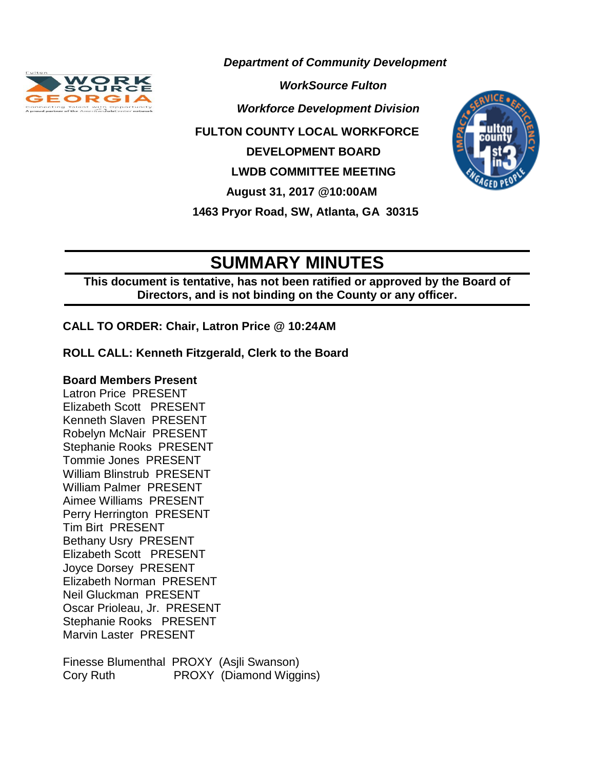

*Department of Community Development*

*Morkforce Development Division* 

 **FULTON COUNTY LOCAL WORKFORCE** 

 **DEVELOPMENT BOARD**

 **LWDB COMMITTEE MEETING**

 **August 31, 2017 @10:00AM**

 **1463 Pryor Road, SW, Atlanta, GA 30315**



# **SUMMARY MINUTES**

**This document is tentative, has not been ratified or approved by the Board of Directors, and is not binding on the County or any officer.** 

**CALL TO ORDER: Chair, Latron Price @ 10:24AM**

## **ROLL CALL: Kenneth Fitzgerald, Clerk to the Board**

### **Board Members Present**

Latron Price PRESENT Elizabeth Scott PRESENT Kenneth Slaven PRESENT Robelyn McNair PRESENT Stephanie Rooks PRESENT Tommie Jones PRESENT William Blinstrub PRESENT William Palmer PRESENT Aimee Williams PRESENT Perry Herrington PRESENT Tim Birt PRESENT Bethany Usry PRESENT Elizabeth Scott PRESENT Joyce Dorsey PRESENT Elizabeth Norman PRESENT Neil Gluckman PRESENT Oscar Prioleau, Jr. PRESENT Stephanie Rooks PRESENT Marvin Laster PRESENT

Finesse Blumenthal PROXY (Asjli Swanson) Cory Ruth PROXY (Diamond Wiggins)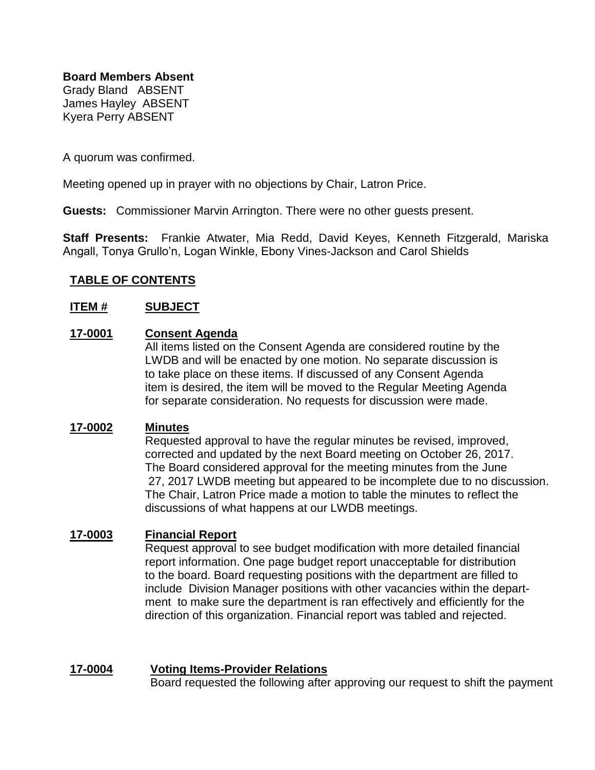**Board Members Absent**

Grady Bland ABSENT James Hayley ABSENT Kyera Perry ABSENT

A quorum was confirmed.

Meeting opened up in prayer with no objections by Chair, Latron Price.

**Guests:** Commissioner Marvin Arrington. There were no other guests present.

**Staff Presents:** Frankie Atwater, Mia Redd, David Keyes, Kenneth Fitzgerald, Mariska Angall, Tonya Grullo'n, Logan Winkle, Ebony Vines-Jackson and Carol Shields

## **TABLE OF CONTENTS**

#### **ITEM # SUBJECT**

#### **17-0001 Consent Agenda**

All items listed on the Consent Agenda are considered routine by the LWDB and will be enacted by one motion. No separate discussion is to take place on these items. If discussed of any Consent Agenda item is desired, the item will be moved to the Regular Meeting Agenda for separate consideration. No requests for discussion were made.

#### **[17-0002](http://agendaminutes.fultoncountyga.gov/sirepub/cache/2/0kg4uxz4pvr0fw3gyd3ptu12/1066308162016111619534.htm#_Toc454975130) Minutes**

Requested approval to have the regular minutes be revised, improved, corrected and updated by the next Board meeting on October 26, 2017. The Board considered approval for the meeting minutes from the June 27, 2017 LWDB meeting but appeared to be incomplete due to no discussion. The Chair, Latron Price made a motion to table the minutes to reflect the discussions of what happens at our LWDB meetings.

#### **17-0003 Financial Report**

Request approval to see budget modification with more detailed financial report information. One page budget report unacceptable for distribution to the board. Board requesting positions with the department are filled to include Division Manager positions with other vacancies within the department to make sure the department is ran effectively and efficiently for the direction of this organization. Financial report was tabled and rejected.

#### **17-0004 Voting Items-Provider Relations**

Board requested the following after approving our request to shift the payment